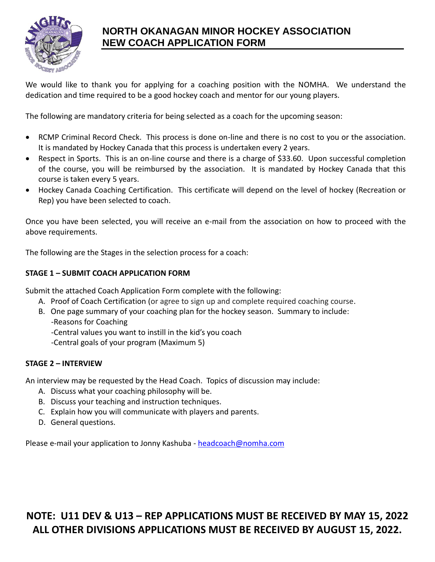

## **NORTH OKANAGAN MINOR HOCKEY ASSOCIATION NEW COACH APPLICATION FORM**

We would like to thank you for applying for a coaching position with the NOMHA. We understand the dedication and time required to be a good hockey coach and mentor for our young players.

The following are mandatory criteria for being selected as a coach for the upcoming season:

- RCMP Criminal Record Check. This process is done on-line and there is no cost to you or the association. It is mandated by Hockey Canada that this process is undertaken every 2 years.
- Respect in Sports. This is an on-line course and there is a charge of \$33.60. Upon successful completion of the course, you will be reimbursed by the association. It is mandated by Hockey Canada that this course is taken every 5 years.
- Hockey Canada Coaching Certification. This certificate will depend on the level of hockey (Recreation or Rep) you have been selected to coach.

Once you have been selected, you will receive an e-mail from the association on how to proceed with the above requirements.

The following are the Stages in the selection process for a coach:

#### **STAGE 1 – SUBMIT COACH APPLICATION FORM**

Submit the attached Coach Application Form complete with the following:

- A. Proof of Coach Certification (or agree to sign up and complete required coaching course.
- B. One page summary of your coaching plan for the hockey season. Summary to include: -Reasons for Coaching

-Central values you want to instill in the kid's you coach

-Central goals of your program (Maximum 5)

### **STAGE 2 – INTERVIEW**

An interview may be requested by the Head Coach. Topics of discussion may include:

- A. Discuss what your coaching philosophy will be.
- B. Discuss your teaching and instruction techniques.
- C. Explain how you will communicate with players and parents.
- D. General questions.

Please e-mail your application to Jonny Kashuba - [headcoach@nomha.com](mailto:headcoach@nomha.com)

# **NOTE: U11 DEV & U13 – REP APPLICATIONS MUST BE RECEIVED BY MAY 15, 2022 ALL OTHER DIVISIONS APPLICATIONS MUST BE RECEIVED BY AUGUST 15, 2022.**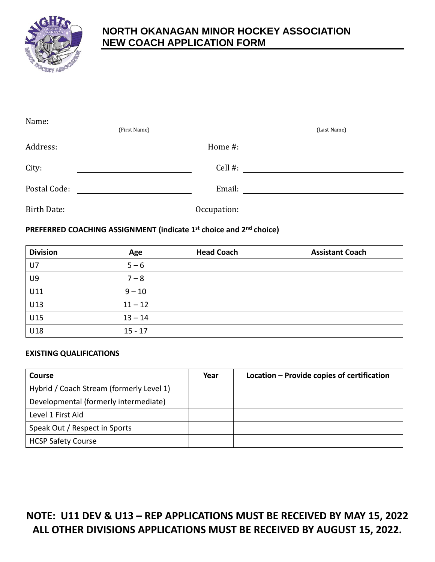

## **NORTH OKANAGAN MINOR HOCKEY ASSOCIATION NEW COACH APPLICATION FORM**

| Name:              | (First Name) |             | (Last Name) |
|--------------------|--------------|-------------|-------------|
| Address:           |              | Home #:     |             |
| City:              |              | Cell #:     |             |
| Postal Code:       |              | Email:      |             |
| <b>Birth Date:</b> |              | Occupation: |             |

### **PREFERRED COACHING ASSIGNMENT (indicate 1st choice and 2nd choice)**

| <b>Division</b> | Age       | <b>Head Coach</b> | <b>Assistant Coach</b> |
|-----------------|-----------|-------------------|------------------------|
| U7              | $5 - 6$   |                   |                        |
| U9              | $7 - 8$   |                   |                        |
| U11             | $9 - 10$  |                   |                        |
| U13             | $11 - 12$ |                   |                        |
| U15             | $13 - 14$ |                   |                        |
| U18             | $15 - 17$ |                   |                        |

#### **EXISTING QUALIFICATIONS**

| Course                                   | Year | Location - Provide copies of certification |
|------------------------------------------|------|--------------------------------------------|
| Hybrid / Coach Stream (formerly Level 1) |      |                                            |
| Developmental (formerly intermediate)    |      |                                            |
| Level 1 First Aid                        |      |                                            |
| Speak Out / Respect in Sports            |      |                                            |
| <b>HCSP Safety Course</b>                |      |                                            |

# **NOTE: U11 DEV & U13 – REP APPLICATIONS MUST BE RECEIVED BY MAY 15, 2022 ALL OTHER DIVISIONS APPLICATIONS MUST BE RECEIVED BY AUGUST 15, 2022.**